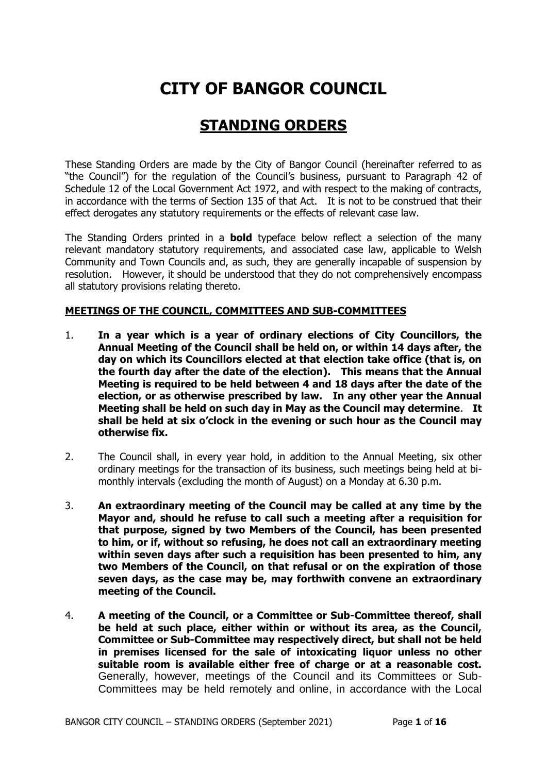# **CITY OF BANGOR COUNCIL**

# **STANDING ORDERS**

These Standing Orders are made by the City of Bangor Council (hereinafter referred to as "the Council") for the regulation of the Council's business, pursuant to Paragraph 42 of Schedule 12 of the Local Government Act 1972, and with respect to the making of contracts, in accordance with the terms of Section 135 of that Act. It is not to be construed that their effect derogates any statutory requirements or the effects of relevant case law.

The Standing Orders printed in a **bold** typeface below reflect a selection of the many relevant mandatory statutory requirements, and associated case law, applicable to Welsh Community and Town Councils and, as such, they are generally incapable of suspension by resolution. However, it should be understood that they do not comprehensively encompass all statutory provisions relating thereto.

# **MEETINGS OF THE COUNCIL, COMMITTEES AND SUB-COMMITTEES**

- 1. **In a year which is a year of ordinary elections of City Councillors, the Annual Meeting of the Council shall be held on, or within 14 days after, the day on which its Councillors elected at that election take office (that is, on the fourth day after the date of the election). This means that the Annual Meeting is required to be held between 4 and 18 days after the date of the election, or as otherwise prescribed by law. In any other year the Annual Meeting shall be held on such day in May as the Council may determine**. **It shall be held at six o'clock in the evening or such hour as the Council may otherwise fix.**
- 2. The Council shall, in every year hold, in addition to the Annual Meeting, six other ordinary meetings for the transaction of its business, such meetings being held at bimonthly intervals (excluding the month of August) on a Monday at 6.30 p.m.
- 3. **An extraordinary meeting of the Council may be called at any time by the Mayor and, should he refuse to call such a meeting after a requisition for that purpose, signed by two Members of the Council, has been presented to him, or if, without so refusing, he does not call an extraordinary meeting within seven days after such a requisition has been presented to him, any two Members of the Council, on that refusal or on the expiration of those seven days, as the case may be, may forthwith convene an extraordinary meeting of the Council.**
- 4. **A meeting of the Council, or a Committee or Sub-Committee thereof, shall be held at such place, either within or without its area, as the Council, Committee or Sub-Committee may respectively direct, but shall not be held in premises licensed for the sale of intoxicating liquor unless no other suitable room is available either free of charge or at a reasonable cost.**  Generally, however, meetings of the Council and its Committees or Sub-Committees may be held remotely and online, in accordance with the Local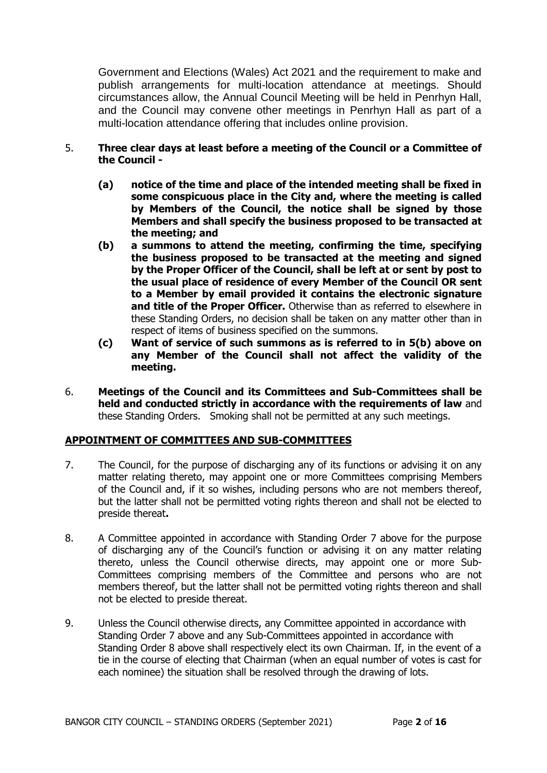Government and Elections (Wales) Act 2021 and the requirement to make and publish arrangements for multi-location attendance at meetings. Should circumstances allow, the Annual Council Meeting will be held in Penrhyn Hall, and the Council may convene other meetings in Penrhyn Hall as part of a multi-location attendance offering that includes online provision.

#### 5. **Three clear days at least before a meeting of the Council or a Committee of the Council -**

- **(a) notice of the time and place of the intended meeting shall be fixed in some conspicuous place in the City and, where the meeting is called by Members of the Council, the notice shall be signed by those Members and shall specify the business proposed to be transacted at the meeting; and**
- **(b) a summons to attend the meeting, confirming the time, specifying the business proposed to be transacted at the meeting and signed by the Proper Officer of the Council, shall be left at or sent by post to the usual place of residence of every Member of the Council OR sent to a Member by email provided it contains the electronic signature and title of the Proper Officer.** Otherwise than as referred to elsewhere in these Standing Orders, no decision shall be taken on any matter other than in respect of items of business specified on the summons.
- **(c) Want of service of such summons as is referred to in 5(b) above on any Member of the Council shall not affect the validity of the meeting.**
- 6. **Meetings of the Council and its Committees and Sub-Committees shall be held and conducted strictly in accordance with the requirements of law** and these Standing Orders. Smoking shall not be permitted at any such meetings.

# **APPOINTMENT OF COMMITTEES AND SUB-COMMITTEES**

- 7. The Council, for the purpose of discharging any of its functions or advising it on any matter relating thereto, may appoint one or more Committees comprising Members of the Council and, if it so wishes, including persons who are not members thereof, but the latter shall not be permitted voting rights thereon and shall not be elected to preside thereat**.**
- 8. A Committee appointed in accordance with Standing Order 7 above for the purpose of discharging any of the Council's function or advising it on any matter relating thereto, unless the Council otherwise directs, may appoint one or more Sub-Committees comprising members of the Committee and persons who are not members thereof, but the latter shall not be permitted voting rights thereon and shall not be elected to preside thereat.
- 9. Unless the Council otherwise directs, any Committee appointed in accordance with Standing Order 7 above and any Sub-Committees appointed in accordance with Standing Order 8 above shall respectively elect its own Chairman. If, in the event of a tie in the course of electing that Chairman (when an equal number of votes is cast for each nominee) the situation shall be resolved through the drawing of lots.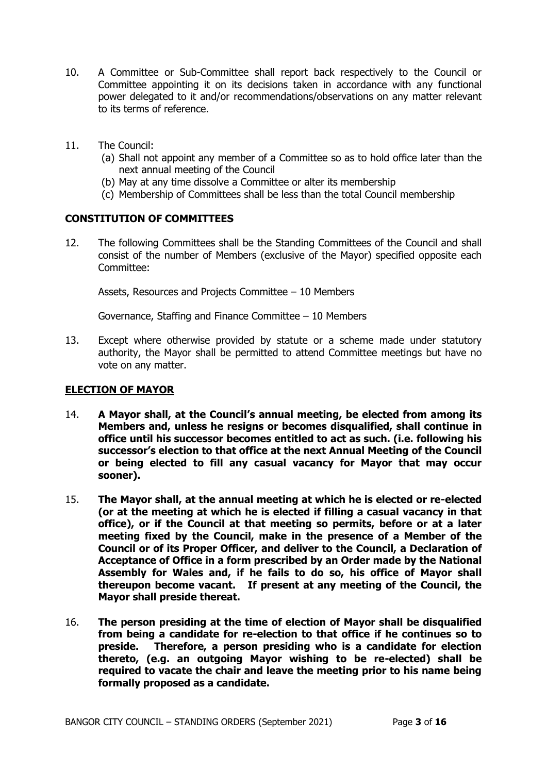- 10. A Committee or Sub-Committee shall report back respectively to the Council or Committee appointing it on its decisions taken in accordance with any functional power delegated to it and/or recommendations/observations on any matter relevant to its terms of reference.
- 11. The Council:
	- (a) Shall not appoint any member of a Committee so as to hold office later than the next annual meeting of the Council
	- (b) May at any time dissolve a Committee or alter its membership
	- (c) Membership of Committees shall be less than the total Council membership

# **CONSTITUTION OF COMMITTEES**

12. The following Committees shall be the Standing Committees of the Council and shall consist of the number of Members (exclusive of the Mayor) specified opposite each Committee:

Assets, Resources and Projects Committee – 10 Members

Governance, Staffing and Finance Committee – 10 Members

13. Except where otherwise provided by statute or a scheme made under statutory authority, the Mayor shall be permitted to attend Committee meetings but have no vote on any matter.

#### **ELECTION OF MAYOR**

- 14. **A Mayor shall, at the Council's annual meeting, be elected from among its Members and, unless he resigns or becomes disqualified, shall continue in office until his successor becomes entitled to act as such. (i.e. following his successor's election to that office at the next Annual Meeting of the Council or being elected to fill any casual vacancy for Mayor that may occur sooner).**
- 15. **The Mayor shall, at the annual meeting at which he is elected or re-elected (or at the meeting at which he is elected if filling a casual vacancy in that office), or if the Council at that meeting so permits, before or at a later meeting fixed by the Council, make in the presence of a Member of the Council or of its Proper Officer, and deliver to the Council, a Declaration of Acceptance of Office in a form prescribed by an Order made by the National Assembly for Wales and, if he fails to do so, his office of Mayor shall thereupon become vacant. If present at any meeting of the Council, the Mayor shall preside thereat.**
- 16. **The person presiding at the time of election of Mayor shall be disqualified from being a candidate for re-election to that office if he continues so to preside. Therefore, a person presiding who is a candidate for election thereto, (e.g. an outgoing Mayor wishing to be re-elected) shall be required to vacate the chair and leave the meeting prior to his name being formally proposed as a candidate.**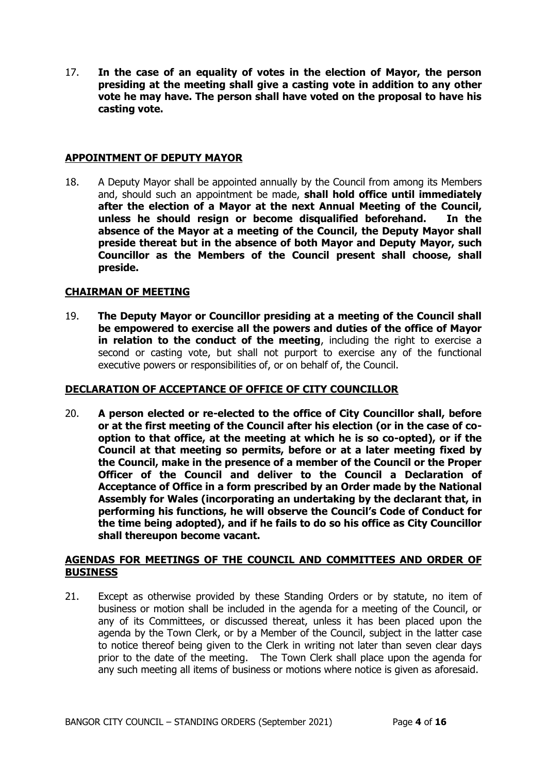17. **In the case of an equality of votes in the election of Mayor, the person presiding at the meeting shall give a casting vote in addition to any other vote he may have. The person shall have voted on the proposal to have his casting vote.**

# **APPOINTMENT OF DEPUTY MAYOR**

18. A Deputy Mayor shall be appointed annually by the Council from among its Members and, should such an appointment be made, **shall hold office until immediately after the election of a Mayor at the next Annual Meeting of the Council, unless he should resign or become disqualified beforehand. In the absence of the Mayor at a meeting of the Council, the Deputy Mayor shall preside thereat but in the absence of both Mayor and Deputy Mayor, such Councillor as the Members of the Council present shall choose, shall preside.**

#### **CHAIRMAN OF MEETING**

19. **The Deputy Mayor or Councillor presiding at a meeting of the Council shall be empowered to exercise all the powers and duties of the office of Mayor in relation to the conduct of the meeting**, including the right to exercise a second or casting vote, but shall not purport to exercise any of the functional executive powers or responsibilities of, or on behalf of, the Council.

#### **DECLARATION OF ACCEPTANCE OF OFFICE OF CITY COUNCILLOR**

20. **A person elected or re-elected to the office of City Councillor shall, before or at the first meeting of the Council after his election (or in the case of cooption to that office, at the meeting at which he is so co-opted), or if the Council at that meeting so permits, before or at a later meeting fixed by the Council, make in the presence of a member of the Council or the Proper Officer of the Council and deliver to the Council a Declaration of Acceptance of Office in a form prescribed by an Order made by the National Assembly for Wales (incorporating an undertaking by the declarant that, in performing his functions, he will observe the Council's Code of Conduct for the time being adopted), and if he fails to do so his office as City Councillor shall thereupon become vacant.**

#### **AGENDAS FOR MEETINGS OF THE COUNCIL AND COMMITTEES AND ORDER OF BUSINESS**

21. Except as otherwise provided by these Standing Orders or by statute, no item of business or motion shall be included in the agenda for a meeting of the Council, or any of its Committees, or discussed thereat, unless it has been placed upon the agenda by the Town Clerk, or by a Member of the Council, subject in the latter case to notice thereof being given to the Clerk in writing not later than seven clear days prior to the date of the meeting. The Town Clerk shall place upon the agenda for any such meeting all items of business or motions where notice is given as aforesaid.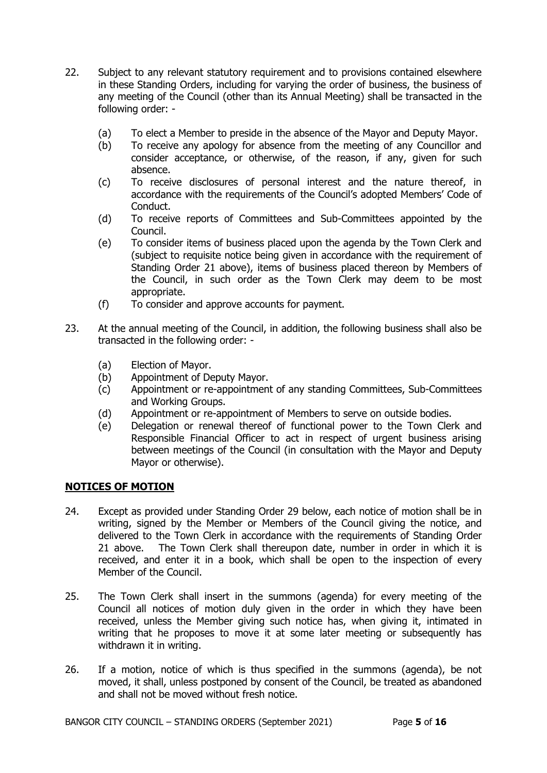- 22. Subject to any relevant statutory requirement and to provisions contained elsewhere in these Standing Orders, including for varying the order of business, the business of any meeting of the Council (other than its Annual Meeting) shall be transacted in the following order: -
	- (a) To elect a Member to preside in the absence of the Mayor and Deputy Mayor.
	- (b) To receive any apology for absence from the meeting of any Councillor and consider acceptance, or otherwise, of the reason, if any, given for such absence.
	- (c) To receive disclosures of personal interest and the nature thereof, in accordance with the requirements of the Council's adopted Members' Code of Conduct.
	- (d) To receive reports of Committees and Sub-Committees appointed by the Council.
	- (e) To consider items of business placed upon the agenda by the Town Clerk and (subject to requisite notice being given in accordance with the requirement of Standing Order 21 above), items of business placed thereon by Members of the Council, in such order as the Town Clerk may deem to be most appropriate.
	- (f) To consider and approve accounts for payment.
- 23. At the annual meeting of the Council, in addition, the following business shall also be transacted in the following order: -
	- (a) Election of Mayor.
	- (b) Appointment of Deputy Mayor.
	- (c) Appointment or re-appointment of any standing Committees, Sub-Committees and Working Groups.
	- (d) Appointment or re-appointment of Members to serve on outside bodies.
	- (e) Delegation or renewal thereof of functional power to the Town Clerk and Responsible Financial Officer to act in respect of urgent business arising between meetings of the Council (in consultation with the Mayor and Deputy Mayor or otherwise).

# **NOTICES OF MOTION**

- 24. Except as provided under Standing Order 29 below, each notice of motion shall be in writing, signed by the Member or Members of the Council giving the notice, and delivered to the Town Clerk in accordance with the requirements of Standing Order 21 above. The Town Clerk shall thereupon date, number in order in which it is received, and enter it in a book, which shall be open to the inspection of every Member of the Council.
- 25. The Town Clerk shall insert in the summons (agenda) for every meeting of the Council all notices of motion duly given in the order in which they have been received, unless the Member giving such notice has, when giving it, intimated in writing that he proposes to move it at some later meeting or subsequently has withdrawn it in writing.
- 26. If a motion, notice of which is thus specified in the summons (agenda), be not moved, it shall, unless postponed by consent of the Council, be treated as abandoned and shall not be moved without fresh notice.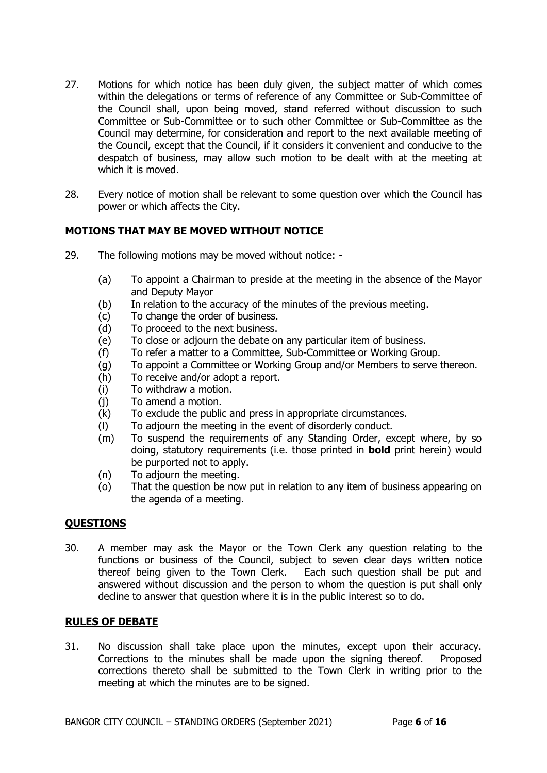- 27. Motions for which notice has been duly given, the subject matter of which comes within the delegations or terms of reference of any Committee or Sub-Committee of the Council shall, upon being moved, stand referred without discussion to such Committee or Sub-Committee or to such other Committee or Sub-Committee as the Council may determine, for consideration and report to the next available meeting of the Council, except that the Council, if it considers it convenient and conducive to the despatch of business, may allow such motion to be dealt with at the meeting at which it is moved.
- 28. Every notice of motion shall be relevant to some question over which the Council has power or which affects the City.

# **MOTIONS THAT MAY BE MOVED WITHOUT NOTICE**

- 29. The following motions may be moved without notice:
	- (a) To appoint a Chairman to preside at the meeting in the absence of the Mayor and Deputy Mayor
	- (b) In relation to the accuracy of the minutes of the previous meeting.
	- (c) To change the order of business.
	- (d) To proceed to the next business.
	- (e) To close or adjourn the debate on any particular item of business.
	- (f) To refer a matter to a Committee, Sub-Committee or Working Group.
	- (g) To appoint a Committee or Working Group and/or Members to serve thereon.
	- (h) To receive and/or adopt a report.
	- (i) To withdraw a motion.
	- (j) To amend a motion.
	- (k) To exclude the public and press in appropriate circumstances.
	- (l) To adjourn the meeting in the event of disorderly conduct.
	- (m) To suspend the requirements of any Standing Order, except where, by so doing, statutory requirements (i.e. those printed in **bold** print herein) would be purported not to apply.
	- (n) To adjourn the meeting.
	- (o) That the question be now put in relation to any item of business appearing on the agenda of a meeting.

#### **QUESTIONS**

30. A member may ask the Mayor or the Town Clerk any question relating to the functions or business of the Council, subject to seven clear days written notice thereof being given to the Town Clerk. Each such question shall be put and answered without discussion and the person to whom the question is put shall only decline to answer that question where it is in the public interest so to do.

#### **RULES OF DEBATE**

31. No discussion shall take place upon the minutes, except upon their accuracy. Corrections to the minutes shall be made upon the signing thereof. Proposed corrections thereto shall be submitted to the Town Clerk in writing prior to the meeting at which the minutes are to be signed.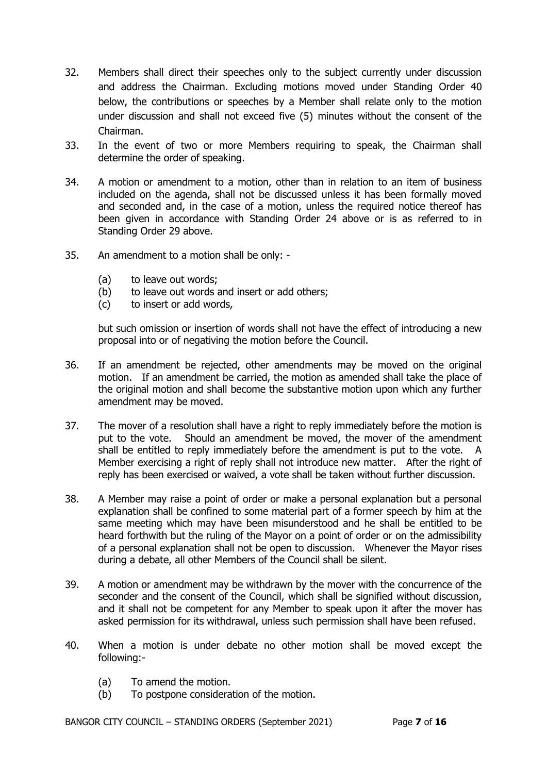- 32. Members shall direct their speeches only to the subject currently under discussion and address the Chairman. Excluding motions moved under Standing Order 40 below, the contributions or speeches by a Member shall relate only to the motion under discussion and shall not exceed five (5) minutes without the consent of the Chairman.
- 33. In the event of two or more Members requiring to speak, the Chairman shall determine the order of speaking.
- 34. A motion or amendment to a motion, other than in relation to an item of business included on the agenda, shall not be discussed unless it has been formally moved and seconded and, in the case of a motion, unless the required notice thereof has been given in accordance with Standing Order 24 above or is as referred to in Standing Order 29 above.
- 35. An amendment to a motion shall be only:
	- (a) to leave out words;
	- (b) to leave out words and insert or add others;
	- (c) to insert or add words,

but such omission or insertion of words shall not have the effect of introducing a new proposal into or of negativing the motion before the Council.

- 36. If an amendment be rejected, other amendments may be moved on the original motion. If an amendment be carried, the motion as amended shall take the place of the original motion and shall become the substantive motion upon which any further amendment may be moved.
- 37. The mover of a resolution shall have a right to reply immediately before the motion is put to the vote. Should an amendment be moved, the mover of the amendment shall be entitled to reply immediately before the amendment is put to the vote. A Member exercising a right of reply shall not introduce new matter. After the right of reply has been exercised or waived, a vote shall be taken without further discussion.
- 38. A Member may raise a point of order or make a personal explanation but a personal explanation shall be confined to some material part of a former speech by him at the same meeting which may have been misunderstood and he shall be entitled to be heard forthwith but the ruling of the Mayor on a point of order or on the admissibility of a personal explanation shall not be open to discussion. Whenever the Mayor rises during a debate, all other Members of the Council shall be silent.
- 39. A motion or amendment may be withdrawn by the mover with the concurrence of the seconder and the consent of the Council, which shall be signified without discussion, and it shall not be competent for any Member to speak upon it after the mover has asked permission for its withdrawal, unless such permission shall have been refused.
- 40. When a motion is under debate no other motion shall be moved except the following:-
	- (a) To amend the motion.
	- (b) To postpone consideration of the motion.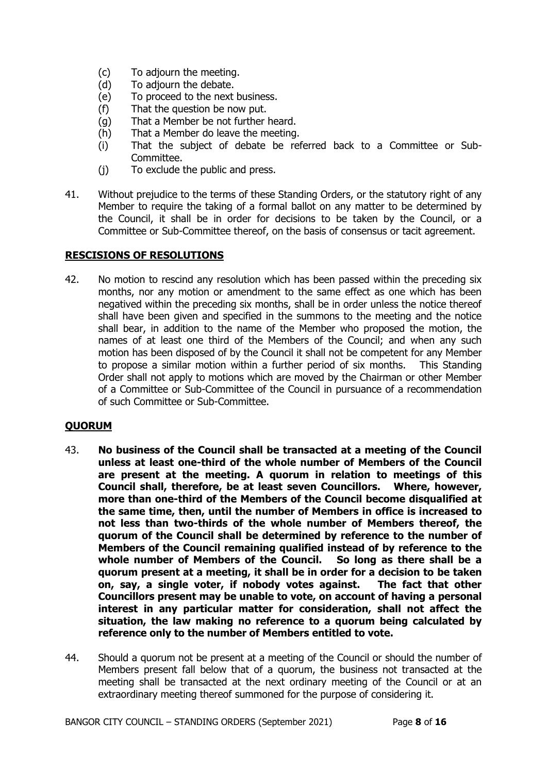- (c) To adjourn the meeting.
- (d) To adjourn the debate.
- (e) To proceed to the next business.
- (f) That the question be now put.
- (g) That a Member be not further heard.
- (h) That a Member do leave the meeting.
- (i) That the subject of debate be referred back to a Committee or Sub-Committee.
- (j) To exclude the public and press.
- 41. Without prejudice to the terms of these Standing Orders, or the statutory right of any Member to require the taking of a formal ballot on any matter to be determined by the Council, it shall be in order for decisions to be taken by the Council, or a Committee or Sub-Committee thereof, on the basis of consensus or tacit agreement.

# **RESCISIONS OF RESOLUTIONS**

42. No motion to rescind any resolution which has been passed within the preceding six months, nor any motion or amendment to the same effect as one which has been negatived within the preceding six months, shall be in order unless the notice thereof shall have been given and specified in the summons to the meeting and the notice shall bear, in addition to the name of the Member who proposed the motion, the names of at least one third of the Members of the Council; and when any such motion has been disposed of by the Council it shall not be competent for any Member to propose a similar motion within a further period of six months. This Standing Order shall not apply to motions which are moved by the Chairman or other Member of a Committee or Sub-Committee of the Council in pursuance of a recommendation of such Committee or Sub-Committee.

# **QUORUM**

- 43. **No business of the Council shall be transacted at a meeting of the Council unless at least one-third of the whole number of Members of the Council are present at the meeting. A quorum in relation to meetings of this Council shall, therefore, be at least seven Councillors. Where, however, more than one-third of the Members of the Council become disqualified at the same time, then, until the number of Members in office is increased to not less than two-thirds of the whole number of Members thereof, the quorum of the Council shall be determined by reference to the number of Members of the Council remaining qualified instead of by reference to the whole number of Members of the Council. So long as there shall be a quorum present at a meeting, it shall be in order for a decision to be taken on, say, a single voter, if nobody votes against. The fact that other Councillors present may be unable to vote, on account of having a personal interest in any particular matter for consideration, shall not affect the situation, the law making no reference to a quorum being calculated by reference only to the number of Members entitled to vote.**
- 44. Should a quorum not be present at a meeting of the Council or should the number of Members present fall below that of a quorum, the business not transacted at the meeting shall be transacted at the next ordinary meeting of the Council or at an extraordinary meeting thereof summoned for the purpose of considering it.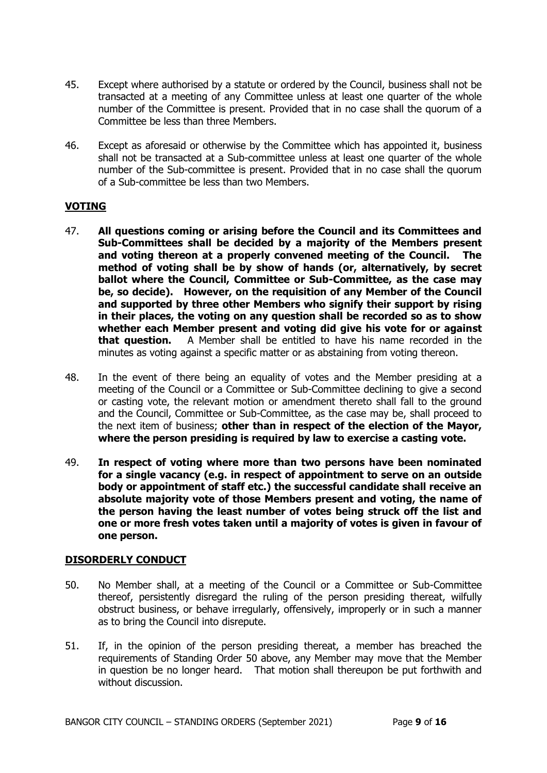- 45. Except where authorised by a statute or ordered by the Council, business shall not be transacted at a meeting of any Committee unless at least one quarter of the whole number of the Committee is present. Provided that in no case shall the quorum of a Committee be less than three Members.
- 46. Except as aforesaid or otherwise by the Committee which has appointed it, business shall not be transacted at a Sub-committee unless at least one quarter of the whole number of the Sub-committee is present. Provided that in no case shall the quorum of a Sub-committee be less than two Members.

# **VOTING**

- 47. **All questions coming or arising before the Council and its Committees and Sub-Committees shall be decided by a majority of the Members present and voting thereon at a properly convened meeting of the Council. The method of voting shall be by show of hands (or, alternatively, by secret ballot where the Council, Committee or Sub-Committee, as the case may be, so decide). However, on the requisition of any Member of the Council and supported by three other Members who signify their support by rising in their places, the voting on any question shall be recorded so as to show whether each Member present and voting did give his vote for or against that question.** A Member shall be entitled to have his name recorded in the minutes as voting against a specific matter or as abstaining from voting thereon.
- 48. In the event of there being an equality of votes and the Member presiding at a meeting of the Council or a Committee or Sub-Committee declining to give a second or casting vote, the relevant motion or amendment thereto shall fall to the ground and the Council, Committee or Sub-Committee, as the case may be, shall proceed to the next item of business; **other than in respect of the election of the Mayor, where the person presiding is required by law to exercise a casting vote.**
- 49. **In respect of voting where more than two persons have been nominated for a single vacancy (e.g. in respect of appointment to serve on an outside body or appointment of staff etc.) the successful candidate shall receive an absolute majority vote of those Members present and voting, the name of the person having the least number of votes being struck off the list and one or more fresh votes taken until a majority of votes is given in favour of one person.**

# **DISORDERLY CONDUCT**

- 50. No Member shall, at a meeting of the Council or a Committee or Sub-Committee thereof, persistently disregard the ruling of the person presiding thereat, wilfully obstruct business, or behave irregularly, offensively, improperly or in such a manner as to bring the Council into disrepute.
- 51. If, in the opinion of the person presiding thereat, a member has breached the requirements of Standing Order 50 above, any Member may move that the Member in question be no longer heard. That motion shall thereupon be put forthwith and without discussion.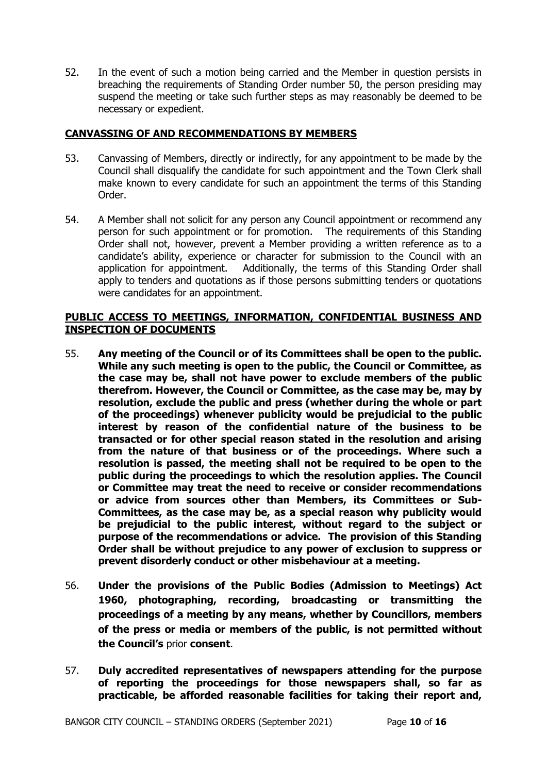52. In the event of such a motion being carried and the Member in question persists in breaching the requirements of Standing Order number 50, the person presiding may suspend the meeting or take such further steps as may reasonably be deemed to be necessary or expedient.

# **CANVASSING OF AND RECOMMENDATIONS BY MEMBERS**

- 53. Canvassing of Members, directly or indirectly, for any appointment to be made by the Council shall disqualify the candidate for such appointment and the Town Clerk shall make known to every candidate for such an appointment the terms of this Standing Order.
- 54. A Member shall not solicit for any person any Council appointment or recommend any person for such appointment or for promotion. The requirements of this Standing Order shall not, however, prevent a Member providing a written reference as to a candidate's ability, experience or character for submission to the Council with an application for appointment. Additionally, the terms of this Standing Order shall apply to tenders and quotations as if those persons submitting tenders or quotations were candidates for an appointment.

#### **PUBLIC ACCESS TO MEETINGS, INFORMATION, CONFIDENTIAL BUSINESS AND INSPECTION OF DOCUMENTS**

- 55. **Any meeting of the Council or of its Committees shall be open to the public. While any such meeting is open to the public, the Council or Committee, as the case may be, shall not have power to exclude members of the public therefrom. However, the Council or Committee, as the case may be, may by resolution, exclude the public and press (whether during the whole or part of the proceedings) whenever publicity would be prejudicial to the public interest by reason of the confidential nature of the business to be transacted or for other special reason stated in the resolution and arising from the nature of that business or of the proceedings. Where such a resolution is passed, the meeting shall not be required to be open to the public during the proceedings to which the resolution applies. The Council or Committee may treat the need to receive or consider recommendations or advice from sources other than Members, its Committees or Sub-Committees, as the case may be, as a special reason why publicity would be prejudicial to the public interest, without regard to the subject or purpose of the recommendations or advice. The provision of this Standing Order shall be without prejudice to any power of exclusion to suppress or prevent disorderly conduct or other misbehaviour at a meeting.**
- 56. **Under the provisions of the Public Bodies (Admission to Meetings) Act 1960, photographing, recording, broadcasting or transmitting the proceedings of a meeting by any means, whether by Councillors, members of the press or media or members of the public, is not permitted without the Council's** prior **consent**.
- 57. **Duly accredited representatives of newspapers attending for the purpose of reporting the proceedings for those newspapers shall, so far as practicable, be afforded reasonable facilities for taking their report and,**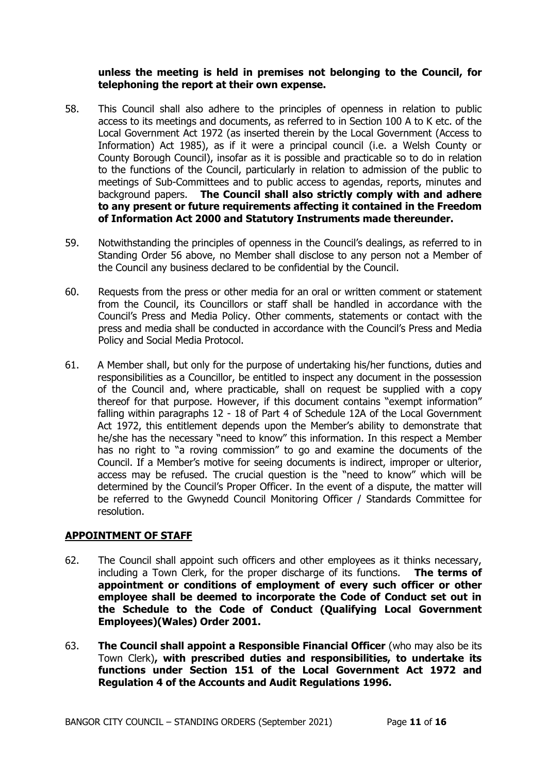# **unless the meeting is held in premises not belonging to the Council, for telephoning the report at their own expense.**

- 58. This Council shall also adhere to the principles of openness in relation to public access to its meetings and documents, as referred to in Section 100 A to K etc. of the Local Government Act 1972 (as inserted therein by the Local Government (Access to Information) Act 1985), as if it were a principal council (i.e. a Welsh County or County Borough Council), insofar as it is possible and practicable so to do in relation to the functions of the Council, particularly in relation to admission of the public to meetings of Sub-Committees and to public access to agendas, reports, minutes and background papers. **The Council shall also strictly comply with and adhere to any present or future requirements affecting it contained in the Freedom of Information Act 2000 and Statutory Instruments made thereunder.**
- 59. Notwithstanding the principles of openness in the Council's dealings, as referred to in Standing Order 56 above, no Member shall disclose to any person not a Member of the Council any business declared to be confidential by the Council.
- 60. Requests from the press or other media for an oral or written comment or statement from the Council, its Councillors or staff shall be handled in accordance with the Council's Press and Media Policy. Other comments, statements or contact with the press and media shall be conducted in accordance with the Council's Press and Media Policy and Social Media Protocol.
- 61. A Member shall, but only for the purpose of undertaking his/her functions, duties and responsibilities as a Councillor, be entitled to inspect any document in the possession of the Council and, where practicable, shall on request be supplied with a copy thereof for that purpose. However, if this document contains "exempt information" falling within paragraphs 12 - 18 of Part 4 of Schedule 12A of the Local Government Act 1972, this entitlement depends upon the Member's ability to demonstrate that he/she has the necessary "need to know" this information. In this respect a Member has no right to "a roving commission" to go and examine the documents of the Council. If a Member's motive for seeing documents is indirect, improper or ulterior, access may be refused. The crucial question is the "need to know" which will be determined by the Council's Proper Officer. In the event of a dispute, the matter will be referred to the Gwynedd Council Monitoring Officer / Standards Committee for resolution.

#### **APPOINTMENT OF STAFF**

- 62. The Council shall appoint such officers and other employees as it thinks necessary, including a Town Clerk, for the proper discharge of its functions. **The terms of appointment or conditions of employment of every such officer or other employee shall be deemed to incorporate the Code of Conduct set out in the Schedule to the Code of Conduct (Qualifying Local Government Employees)(Wales) Order 2001.**
- 63. **The Council shall appoint a Responsible Financial Officer** (who may also be its Town Clerk)**, with prescribed duties and responsibilities, to undertake its functions under Section 151 of the Local Government Act 1972 and Regulation 4 of the Accounts and Audit Regulations 1996.**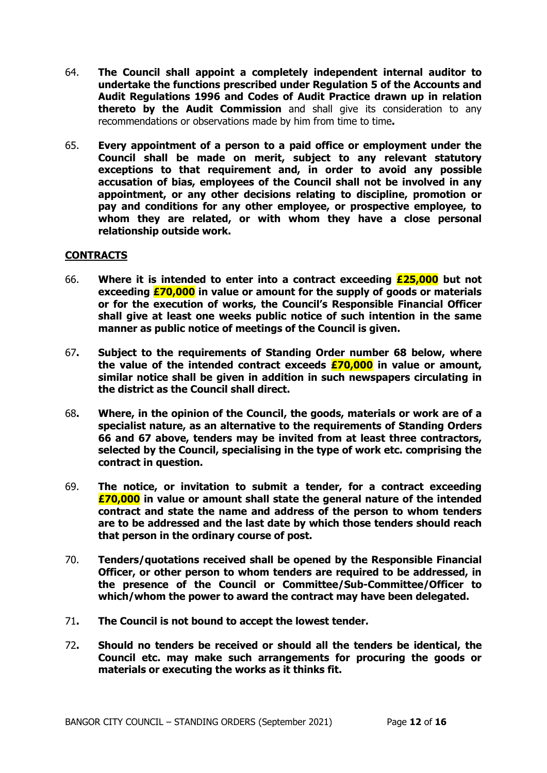- 64. **The Council shall appoint a completely independent internal auditor to undertake the functions prescribed under Regulation 5 of the Accounts and Audit Regulations 1996 and Codes of Audit Practice drawn up in relation thereto by the Audit Commission** and shall give its consideration to any recommendations or observations made by him from time to time**.**
- 65. **Every appointment of a person to a paid office or employment under the Council shall be made on merit, subject to any relevant statutory exceptions to that requirement and, in order to avoid any possible accusation of bias, employees of the Council shall not be involved in any appointment, or any other decisions relating to discipline, promotion or pay and conditions for any other employee, or prospective employee, to whom they are related, or with whom they have a close personal relationship outside work.**

# **CONTRACTS**

- 66. **Where it is intended to enter into a contract exceeding £25,000 but not exceeding £70,000 in value or amount for the supply of goods or materials or for the execution of works, the Council's Responsible Financial Officer shall give at least one weeks public notice of such intention in the same manner as public notice of meetings of the Council is given.**
- 67**. Subject to the requirements of Standing Order number 68 below, where the value of the intended contract exceeds £70,000 in value or amount, similar notice shall be given in addition in such newspapers circulating in the district as the Council shall direct.**
- 68**. Where, in the opinion of the Council, the goods, materials or work are of a specialist nature, as an alternative to the requirements of Standing Orders 66 and 67 above, tenders may be invited from at least three contractors, selected by the Council, specialising in the type of work etc. comprising the contract in question.**
- 69. **The notice, or invitation to submit a tender, for a contract exceeding £70,000 in value or amount shall state the general nature of the intended contract and state the name and address of the person to whom tenders are to be addressed and the last date by which those tenders should reach that person in the ordinary course of post.**
- 70. **Tenders/quotations received shall be opened by the Responsible Financial Officer, or other person to whom tenders are required to be addressed, in the presence of the Council or Committee/Sub-Committee/Officer to which/whom the power to award the contract may have been delegated.**
- 71**. The Council is not bound to accept the lowest tender.**
- 72**. Should no tenders be received or should all the tenders be identical, the Council etc. may make such arrangements for procuring the goods or materials or executing the works as it thinks fit.**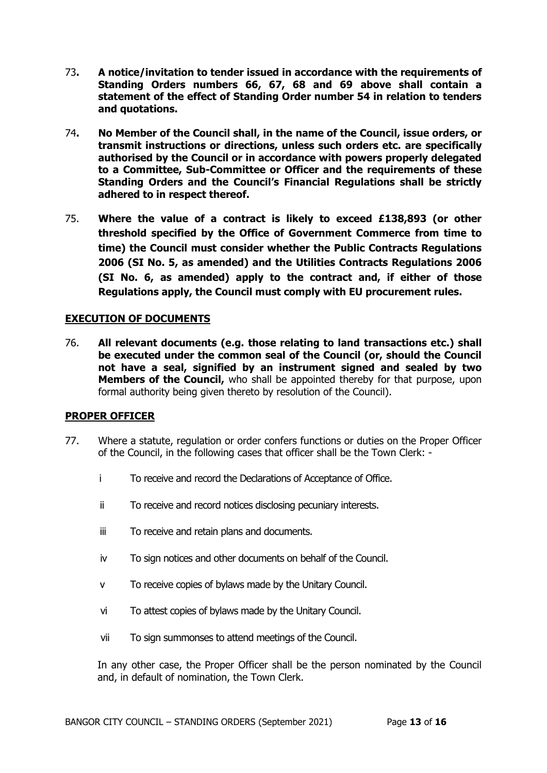- 73**. A notice/invitation to tender issued in accordance with the requirements of Standing Orders numbers 66, 67, 68 and 69 above shall contain a statement of the effect of Standing Order number 54 in relation to tenders and quotations.**
- 74**. No Member of the Council shall, in the name of the Council, issue orders, or transmit instructions or directions, unless such orders etc. are specifically authorised by the Council or in accordance with powers properly delegated to a Committee, Sub-Committee or Officer and the requirements of these Standing Orders and the Council's Financial Regulations shall be strictly adhered to in respect thereof.**
- 75. **Where the value of a contract is likely to exceed £138,893 (or other threshold specified by the Office of Government Commerce from time to time) the Council must consider whether the Public Contracts Regulations 2006 (SI No. 5, as amended) and the Utilities Contracts Regulations 2006 (SI No. 6, as amended) apply to the contract and, if either of those Regulations apply, the Council must comply with EU procurement rules.**

# **EXECUTION OF DOCUMENTS**

76. **All relevant documents (e.g. those relating to land transactions etc.) shall be executed under the common seal of the Council (or, should the Council not have a seal, signified by an instrument signed and sealed by two Members of the Council,** who shall be appointed thereby for that purpose, upon formal authority being given thereto by resolution of the Council).

#### **PROPER OFFICER**

- 77. Where a statute, regulation or order confers functions or duties on the Proper Officer of the Council, in the following cases that officer shall be the Town Clerk:
	- i To receive and record the Declarations of Acceptance of Office.
	- ii To receive and record notices disclosing pecuniary interests.
	- iii To receive and retain plans and documents.
	- iv To sign notices and other documents on behalf of the Council.
	- v To receive copies of bylaws made by the Unitary Council.
	- vi To attest copies of bylaws made by the Unitary Council.
	- vii To sign summonses to attend meetings of the Council.

In any other case, the Proper Officer shall be the person nominated by the Council and, in default of nomination, the Town Clerk.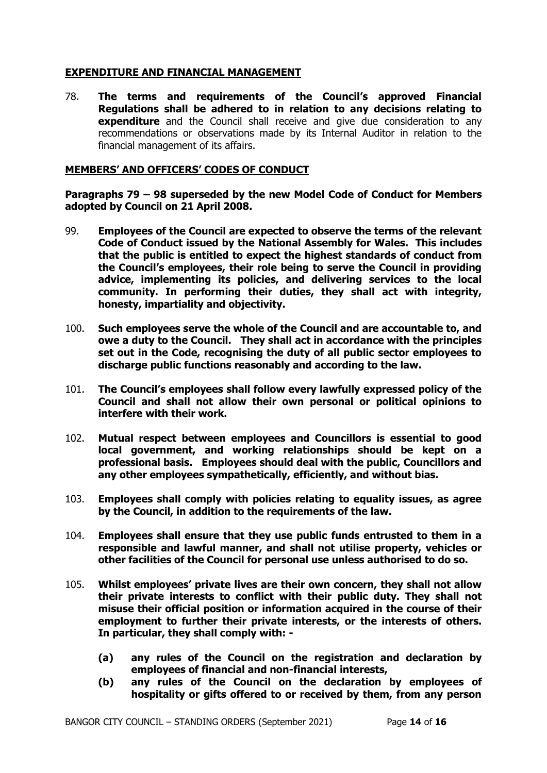# **EXPENDITURE AND FINANCIAL MANAGEMENT**

78. **The terms and requirements of the Council's approved Financial Regulations shall be adhered to in relation to any decisions relating to expenditure** and the Council shall receive and give due consideration to any recommendations or observations made by its Internal Auditor in relation to the financial management of its affairs.

#### **MEMBERS' AND OFFICERS' CODES OF CONDUCT**

**Paragraphs 79 – 98 superseded by the new Model Code of Conduct for Members adopted by Council on 21 April 2008.** 

- 99. **Employees of the Council are expected to observe the terms of the relevant Code of Conduct issued by the National Assembly for Wales. This includes that the public is entitled to expect the highest standards of conduct from the Council's employees, their role being to serve the Council in providing advice, implementing its policies, and delivering services to the local community. In performing their duties, they shall act with integrity, honesty, impartiality and objectivity.**
- 100. **Such employees serve the whole of the Council and are accountable to, and owe a duty to the Council. They shall act in accordance with the principles set out in the Code, recognising the duty of all public sector employees to discharge public functions reasonably and according to the law.**
- 101. **The Council's employees shall follow every lawfully expressed policy of the Council and shall not allow their own personal or political opinions to interfere with their work.**
- 102. **Mutual respect between employees and Councillors is essential to good local government, and working relationships should be kept on a professional basis. Employees should deal with the public, Councillors and any other employees sympathetically, efficiently, and without bias.**
- 103. **Employees shall comply with policies relating to equality issues, as agree by the Council, in addition to the requirements of the law.**
- 104. **Employees shall ensure that they use public funds entrusted to them in a responsible and lawful manner, and shall not utilise property, vehicles or other facilities of the Council for personal use unless authorised to do so.**
- 105. **Whilst employees' private lives are their own concern, they shall not allow their private interests to conflict with their public duty. They shall not misuse their official position or information acquired in the course of their employment to further their private interests, or the interests of others. In particular, they shall comply with: -**
	- **(a) any rules of the Council on the registration and declaration by employees of financial and non-financial interests,**
	- **(b) any rules of the Council on the declaration by employees of hospitality or gifts offered to or received by them, from any person**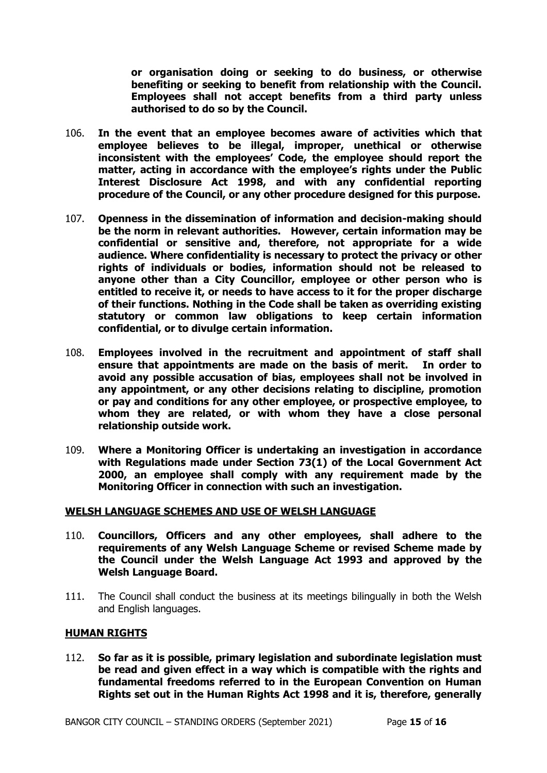**or organisation doing or seeking to do business, or otherwise benefiting or seeking to benefit from relationship with the Council. Employees shall not accept benefits from a third party unless authorised to do so by the Council.**

- 106. **In the event that an employee becomes aware of activities which that employee believes to be illegal, improper, unethical or otherwise inconsistent with the employees' Code, the employee should report the matter, acting in accordance with the employee's rights under the Public Interest Disclosure Act 1998, and with any confidential reporting procedure of the Council, or any other procedure designed for this purpose.**
- 107. **Openness in the dissemination of information and decision-making should be the norm in relevant authorities. However, certain information may be confidential or sensitive and, therefore, not appropriate for a wide audience. Where confidentiality is necessary to protect the privacy or other rights of individuals or bodies, information should not be released to anyone other than a City Councillor, employee or other person who is entitled to receive it, or needs to have access to it for the proper discharge of their functions. Nothing in the Code shall be taken as overriding existing statutory or common law obligations to keep certain information confidential, or to divulge certain information.**
- 108. **Employees involved in the recruitment and appointment of staff shall ensure that appointments are made on the basis of merit. In order to avoid any possible accusation of bias, employees shall not be involved in any appointment, or any other decisions relating to discipline, promotion or pay and conditions for any other employee, or prospective employee, to whom they are related, or with whom they have a close personal relationship outside work.**
- 109. **Where a Monitoring Officer is undertaking an investigation in accordance with Regulations made under Section 73(1) of the Local Government Act 2000, an employee shall comply with any requirement made by the Monitoring Officer in connection with such an investigation.**

# **WELSH LANGUAGE SCHEMES AND USE OF WELSH LANGUAGE**

- 110. **Councillors, Officers and any other employees, shall adhere to the requirements of any Welsh Language Scheme or revised Scheme made by the Council under the Welsh Language Act 1993 and approved by the Welsh Language Board.**
- 111. The Council shall conduct the business at its meetings bilingually in both the Welsh and English languages.

# **HUMAN RIGHTS**

112. **So far as it is possible, primary legislation and subordinate legislation must be read and given effect in a way which is compatible with the rights and fundamental freedoms referred to in the European Convention on Human Rights set out in the Human Rights Act 1998 and it is, therefore, generally**